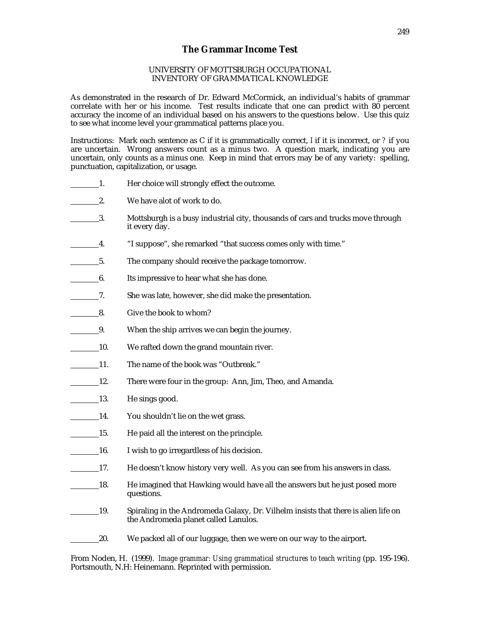## **The Grammar Income Test**

## UNIVERSITY OF MOTTSBURGH OCCUPATIONAL INVENTORY OF GRAMMATICAL KNOWLEDGE

As demonstrated in the research of Dr. Edward McCormick, an individual's habits of grammar correlate with her or his income. Test results indicate that one can predict with 80 percent accuracy the income of an individual based on his answers to the questions below. Use this quiz to see what income level your grammatical patterns place you.

Instructions: Mark each sentence as C if it is grammatically correct, *I* if it is incorrect, or *?* if you are uncertain. Wrong answers count as a minus two. A question mark, indicating you are uncertain, only counts as a minus one. Keep in mind that errors may be of any variety: spelling, punctuation, capitalization, or usage.

- 1. Her choice will strongly effect the outcome.
- **2.** We have alot of work to do.
- 3. Mottsburgh is a busy industrial city, thousands of cars and trucks move through it every day.
- 4. "I suppose", she remarked "that success comes only with time."
- 5. The company should receive the package tomorrow.
- 6. Its impressive to hear what she has done.
- 7. She was late, however, she did make the presentation.
- 8. Give the book to whom?
- 9. When the ship arrives we can begin the journey.
- 10. We rafted down the grand mountain river.
- 11. The name of the book was "Outbreak."
- 12. There were four in the group: Ann, Jim, Theo, and Amanda.
- 13. He sings good.
- 14. You shouldn't lie on the wet grass.
- 15. He paid all the interest on the principle.
- 16. I wish to go irregardless of his decision.
- 17. He doesn't know history very well. As you can see from his answers in class.
- 18. He imagined that Hawking would have all the answers but he just posed more questions.
- 19. Spiraling in the Andromeda Galaxy, Dr. Vilhelm insists that there is alien life on the Andromeda planet called Lanulos.
- 20. We packed all of our luggage, then we were on our way to the airport.

From Noden, H. (1999). *Image grammar: Using grammatical structures to teach writing* (pp. 195-196). Portsmouth, N.H: Heinemann. Reprinted with permission.